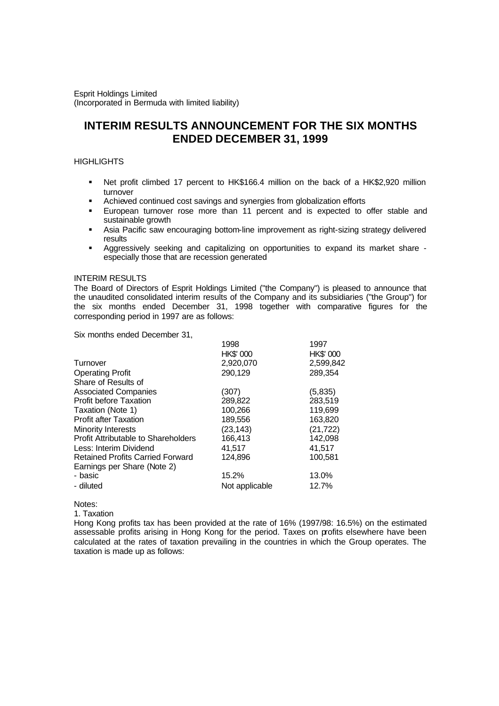Esprit Holdings Limited (Incorporated in Bermuda with limited liability)

# **INTERIM RESULTS ANNOUNCEMENT FOR THE SIX MONTHS ENDED DECEMBER 31, 1999**

# **HIGHLIGHTS**

- Net profit climbed 17 percent to HK\$166.4 million on the back of a HK\$2,920 million turnover
- ß Achieved continued cost savings and synergies from globalization efforts
- ß European turnover rose more than 11 percent and is expected to offer stable and sustainable growth
- **Asia Pacific saw encouraging bottom-line improvement as right-sizing strategy delivered** results
- **•** Aggressively seeking and capitalizing on opportunities to expand its market share especially those that are recession generated

## INTERIM RESULTS

The Board of Directors of Esprit Holdings Limited ("the Company") is pleased to announce that the unaudited consolidated interim results of the Company and its subsidiaries ("the Group") for the six months ended December 31, 1998 together with comparative figures for the corresponding period in 1997 are as follows:

Six months ended December 31,

|                                            | 1998             | 1997      |
|--------------------------------------------|------------------|-----------|
|                                            | <b>HK\$' 000</b> | HK\$' 000 |
| Turnover                                   | 2,920,070        | 2,599,842 |
| <b>Operating Profit</b>                    | 290,129          | 289,354   |
| Share of Results of                        |                  |           |
| <b>Associated Companies</b>                | (307)            | (5,835)   |
| <b>Profit before Taxation</b>              | 289,822          | 283,519   |
| Taxation (Note 1)                          | 100,266          | 119,699   |
| <b>Profit after Taxation</b>               | 189,556          | 163,820   |
| <b>Minority Interests</b>                  | (23, 143)        | (21, 722) |
| <b>Profit Attributable to Shareholders</b> | 166,413          | 142,098   |
| Less: Interim Dividend                     | 41,517           | 41,517    |
| <b>Retained Profits Carried Forward</b>    | 124.896          | 100,581   |
| Earnings per Share (Note 2)                |                  |           |
| - basic                                    | 15.2%            | 13.0%     |
| - diluted                                  | Not applicable   | 12.7%     |

Notes:

1. Taxation

Hong Kong profits tax has been provided at the rate of 16% (1997/98: 16.5%) on the estimated assessable profits arising in Hong Kong for the period. Taxes on profits elsewhere have been calculated at the rates of taxation prevailing in the countries in which the Group operates. The taxation is made up as follows: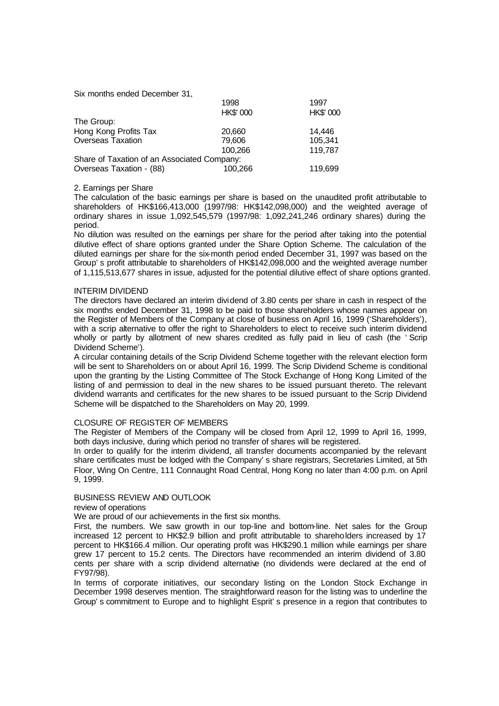Six months ended December 31,

|                                             | 1998             | 1997      |  |
|---------------------------------------------|------------------|-----------|--|
|                                             | <b>HK\$' 000</b> | HK\$' 000 |  |
| The Group:                                  |                  |           |  |
| Hong Kong Profits Tax                       | 20,660           | 14,446    |  |
| <b>Overseas Taxation</b>                    | 79,606           | 105,341   |  |
|                                             | 100.266          | 119,787   |  |
| Share of Taxation of an Associated Company: |                  |           |  |
| Overseas Taxation - (88)                    | 100,266          | 119,699   |  |

#### 2. Earnings per Share

The calculation of the basic earnings per share is based on the unaudited profit attributable to shareholders of HK\$166,413,000 (1997/98: HK\$142,098,000) and the weighted average of ordinary shares in issue 1,092,545,579 (1997/98: 1,092,241,246 ordinary shares) during the period.

No dilution was resulted on the earnings per share for the period after taking into the potential dilutive effect of share options granted under the Share Option Scheme. The calculation of the diluted earnings per share for the six-month period ended December 31, 1997 was based on the Group's profit attributable to shareholders of HK\$142,098,000 and the weighted average number of 1,115,513,677 shares in issue, adjusted for the potential dilutive effect of share options granted.

#### INTERIM DIVIDEND

The directors have declared an interim dividend of 3.80 cents per share in cash in respect of the six months ended December 31, 1998 to be paid to those shareholders whose names appear on the Register of Members of the Company at close of business on April 16, 1999 ('Shareholders'), with a scrip alternative to offer the right to Shareholders to elect to receive such interim dividend wholly or partly by allotment of new shares credited as fully paid in lieu of cash (the 'Scrip Dividend Scheme').

A circular containing details of the Scrip Dividend Scheme together with the relevant election form will be sent to Shareholders on or about April 16, 1999. The Scrip Dividend Scheme is conditional upon the granting by the Listing Committee of The Stock Exchange of Hong Kong Limited of the listing of and permission to deal in the new shares to be issued pursuant thereto. The relevant dividend warrants and certificates for the new shares to be issued pursuant to the Scrip Dividend Scheme will be dispatched to the Shareholders on May 20, 1999.

#### CLOSURE OF REGISTER OF MEMBERS

The Register of Members of the Company will be closed from April 12, 1999 to April 16, 1999, both days inclusive, during which period no transfer of shares will be registered.

In order to qualify for the interim dividend, all transfer documents accompanied by the relevant share certificates must be lodged with the Company's share registrars, Secretaries Limited, at 5th Floor, Wing On Centre, 111 Connaught Road Central, Hong Kong no later than 4:00 p.m. on April 9, 1999.

#### BUSINESS REVIEW AND OUTLOOK

review of operations

We are proud of our achievements in the first six months.

First, the numbers. We saw growth in our top-line and bottom-line. Net sales for the Group increased 12 percent to HK\$2.9 billion and profit attributable to shareholders increased by 17 percent to HK\$166.4 million. Our operating profit was HK\$290.1 million while earnings per share grew 17 percent to 15.2 cents. The Directors have recommended an interim dividend of 3.80 cents per share with a scrip dividend alternative (no dividends were declared at the end of FY97/98).

In terms of corporate initiatives, our secondary listing on the London Stock Exchange in December 1998 deserves mention. The straightforward reason for the listing was to underline the Group's commitment to Europe and to highlight Esprit's presence in a region that contributes to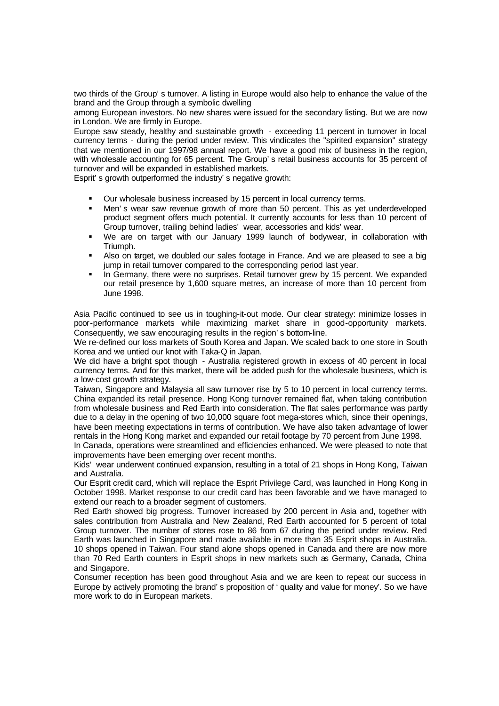two thirds of the Group's turnover. A listing in Europe would also help to enhance the value of the brand and the Group through a symbolic dwelling

among European investors. No new shares were issued for the secondary listing. But we are now in London. We are firmly in Europe.

Europe saw steady, healthy and sustainable growth - exceeding 11 percent in turnover in local currency terms - during the period under review. This vindicates the "spirited expansion" strategy that we mentioned in our 1997/98 annual report. We have a good mix of business in the region, with wholesale accounting for 65 percent. The Group's retail business accounts for 35 percent of turnover and will be expanded in established markets.

Esprit's growth outperformed the industry's negative growth:

- ß Our wholesale business increased by 15 percent in local currency terms.
- Men's wear saw revenue growth of more than 50 percent. This as yet underdeveloped product segment offers much potential. It currently accounts for less than 10 percent of Group turnover, trailing behind ladies' wear, accessories and kids' wear.
- ß We are on target with our January 1999 launch of bodywear, in collaboration with Triumph.
- **Also on target, we doubled our sales footage in France. And we are pleased to see a big** jump in retail turnover compared to the corresponding period last year.
- **•** In Germany, there were no surprises. Retail turnover grew by 15 percent. We expanded our retail presence by 1,600 square metres, an increase of more than 10 percent from June 1998.

Asia Pacific continued to see us in toughing-it-out mode. Our clear strategy: minimize losses in poor-performance markets while maximizing market share in good-opportunity markets. Consequently, we saw encouraging results in the region's bottom-line.

We re-defined our loss markets of South Korea and Japan. We scaled back to one store in South Korea and we untied our knot with Taka-Q in Japan.

We did have a bright spot though - Australia registered growth in excess of 40 percent in local currency terms. And for this market, there will be added push for the wholesale business, which is a low-cost growth strategy.

Taiwan, Singapore and Malaysia all saw turnover rise by 5 to 10 percent in local currency terms. China expanded its retail presence. Hong Kong turnover remained flat, when taking contribution from wholesale business and Red Earth into consideration. The flat sales performance was partly due to a delay in the opening of two 10,000 square foot mega-stores which, since their openings, have been meeting expectations in terms of contribution. We have also taken advantage of lower rentals in the Hong Kong market and expanded our retail footage by 70 percent from June 1998.

In Canada, operations were streamlined and efficiencies enhanced. We were pleased to note that improvements have been emerging over recent months.

Kids' wear underwent continued expansion, resulting in a total of 21 shops in Hong Kong, Taiwan and Australia.

Our Esprit credit card, which will replace the Esprit Privilege Card, was launched in Hong Kong in October 1998. Market response to our credit card has been favorable and we have managed to extend our reach to a broader segment of customers.

Red Earth showed big progress. Turnover increased by 200 percent in Asia and, together with sales contribution from Australia and New Zealand, Red Earth accounted for 5 percent of total Group turnover. The number of stores rose to 86 from 67 during the period under review. Red Earth was launched in Singapore and made available in more than 35 Esprit shops in Australia. 10 shops opened in Taiwan. Four stand alone shops opened in Canada and there are now more than 70 Red Earth counters in Esprit shops in new markets such as Germany, Canada, China and Singapore.

Consumer reception has been good throughout Asia and we are keen to repeat our success in Europe by actively promoting the brand's proposition of 'quality and value for money'. So we have more work to do in European markets.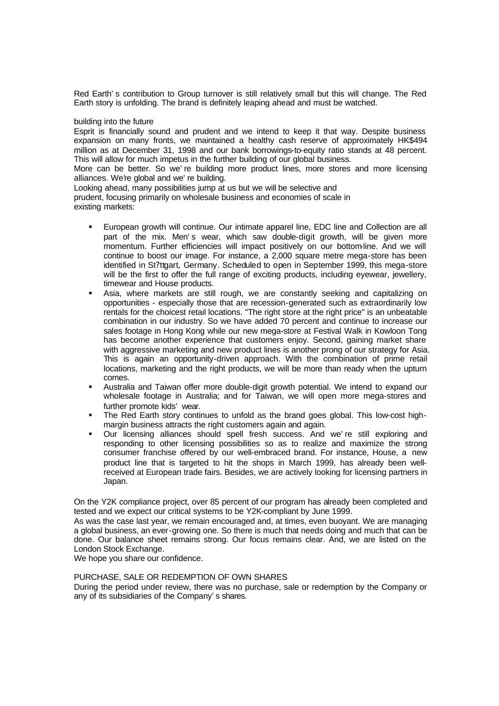Red Earth's contribution to Group turnover is still relatively small but this will change. The Red Earth story is unfolding. The brand is definitely leaping ahead and must be watched.

## building into the future

Esprit is financially sound and prudent and we intend to keep it that way. Despite business expansion on many fronts, we maintained a healthy cash reserve of approximately HK\$494 million as at December 31, 1998 and our bank borrowings-to-equity ratio stands at 48 percent. This will allow for much impetus in the further building of our global business.

More can be better. So we're building more product lines, more stores and more licensing alliances. We're global and we're building.

Looking ahead, many possibilities jump at us but we will be selective and prudent, focusing primarily on wholesale business and economies of scale in existing markets:

- ß European growth will continue. Our intimate apparel line, EDC line and Collection are all part of the mix. Men's wear, which saw double-digit growth, will be given more momentum. Further efficiencies will impact positively on our bottom-line. And we will continue to boost our image. For instance, a 2,000 square metre mega-store has been identified in St?ttgart, Germany. Scheduled to open in September 1999, this mega-store will be the first to offer the full range of exciting products, including eyewear, jewellery, timewear and House products.
- **B** Asia, where markets are still rough, we are constantly seeking and capitalizing on opportunities - especially those that are recession-generated such as extraordinarily low rentals for the choicest retail locations. "The right store at the right price" is an unbeatable combination in our industry. So we have added 70 percent and continue to increase our sales footage in Hong Kong while our new mega-store at Festival Walk in Kowloon Tong has become another experience that customers enjoy. Second, gaining market share with aggressive marketing and new product lines is another prong of our strategy for Asia. This is again an opportunity-driven approach. With the combination of prime retail locations, marketing and the right products, we will be more than ready when the upturn comes.
- ß Australia and Taiwan offer more double-digit growth potential. We intend to expand our wholesale footage in Australia; and for Taiwan, we will open more mega-stores and further promote kids' wear.
- The Red Earth story continues to unfold as the brand goes global. This low-cost highmargin business attracts the right customers again and again.
- ß Our licensing alliances should spell fresh success. And we're still exploring and responding to other licensing possibilities so as to realize and maximize the strong consumer franchise offered by our well-embraced brand. For instance, House, a new product line that is targeted to hit the shops in March 1999, has already been wellreceived at European trade fairs. Besides, we are actively looking for licensing partners in Japan.

On the Y2K compliance project, over 85 percent of our program has already been completed and tested and we expect our critical systems to be Y2K-compliant by June 1999.

As was the case last year, we remain encouraged and, at times, even buoyant. We are managing a global business, an ever-growing one. So there is much that needs doing and much that can be done. Our balance sheet remains strong. Our focus remains clear. And, we are listed on the London Stock Exchange.

We hope you share our confidence.

#### PURCHASE, SALE OR REDEMPTION OF OWN SHARES

During the period under review, there was no purchase, sale or redemption by the Company or any of its subsidiaries of the Company's shares.